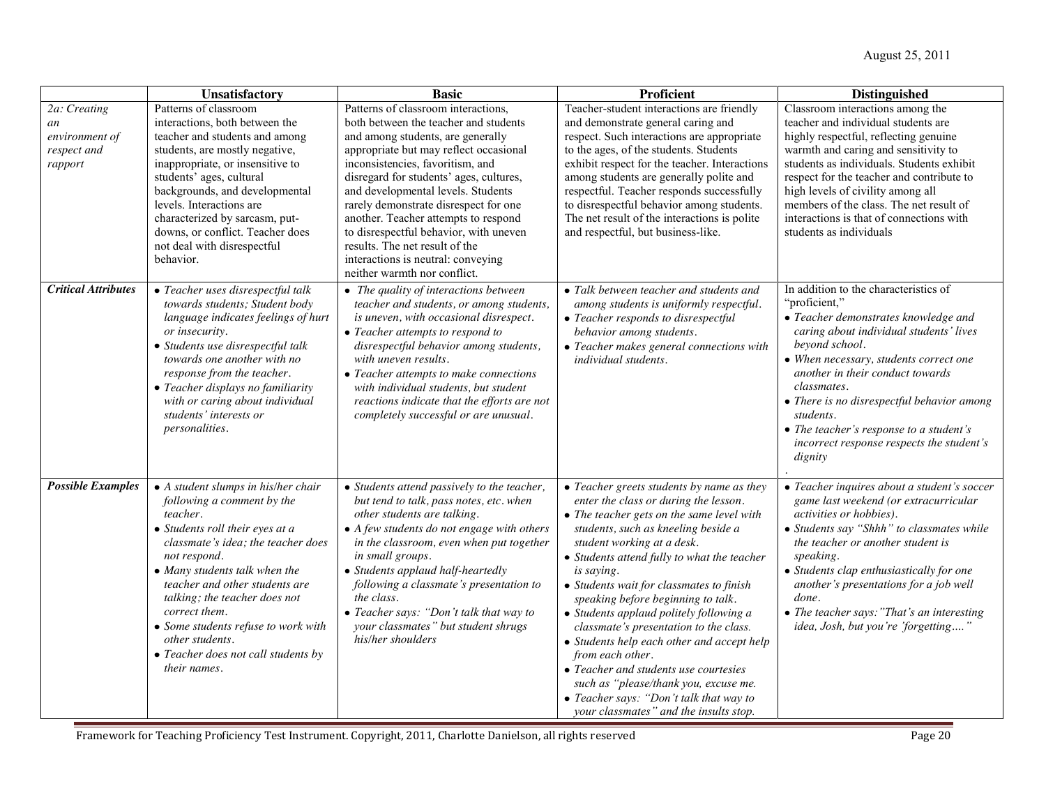|                                                                | Unsatisfactory                                                                                                                                                                                                                                                                                                                                                                                               | <b>Basic</b>                                                                                                                                                                                                                                                                                                                                                                                                                                                                                                        | Proficient                                                                                                                                                                                                                                                                                                                                                                                                                                                                                                                                                                                                                                                                        | <b>Distinguished</b>                                                                                                                                                                                                                                                                                                                                                                                                   |
|----------------------------------------------------------------|--------------------------------------------------------------------------------------------------------------------------------------------------------------------------------------------------------------------------------------------------------------------------------------------------------------------------------------------------------------------------------------------------------------|---------------------------------------------------------------------------------------------------------------------------------------------------------------------------------------------------------------------------------------------------------------------------------------------------------------------------------------------------------------------------------------------------------------------------------------------------------------------------------------------------------------------|-----------------------------------------------------------------------------------------------------------------------------------------------------------------------------------------------------------------------------------------------------------------------------------------------------------------------------------------------------------------------------------------------------------------------------------------------------------------------------------------------------------------------------------------------------------------------------------------------------------------------------------------------------------------------------------|------------------------------------------------------------------------------------------------------------------------------------------------------------------------------------------------------------------------------------------------------------------------------------------------------------------------------------------------------------------------------------------------------------------------|
| 2a: Creating<br>an<br>environment of<br>respect and<br>rapport | Patterns of classroom<br>interactions, both between the<br>teacher and students and among<br>students, are mostly negative,<br>inappropriate, or insensitive to<br>students' ages, cultural<br>backgrounds, and developmental<br>levels. Interactions are<br>characterized by sarcasm, put-<br>downs, or conflict. Teacher does<br>not deal with disrespectful<br>behavior.                                  | Patterns of classroom interactions,<br>both between the teacher and students<br>and among students, are generally<br>appropriate but may reflect occasional<br>inconsistencies, favoritism, and<br>disregard for students' ages, cultures,<br>and developmental levels. Students<br>rarely demonstrate disrespect for one<br>another. Teacher attempts to respond<br>to disrespectful behavior, with uneven<br>results. The net result of the<br>interactions is neutral: conveying<br>neither warmth nor conflict. | Teacher-student interactions are friendly<br>and demonstrate general caring and<br>respect. Such interactions are appropriate<br>to the ages, of the students. Students<br>exhibit respect for the teacher. Interactions<br>among students are generally polite and<br>respectful. Teacher responds successfully<br>to disrespectful behavior among students.<br>The net result of the interactions is polite<br>and respectful, but business-like.                                                                                                                                                                                                                               | Classroom interactions among the<br>teacher and individual students are<br>highly respectful, reflecting genuine<br>warmth and caring and sensitivity to<br>students as individuals. Students exhibit<br>respect for the teacher and contribute to<br>high levels of civility among all<br>members of the class. The net result of<br>interactions is that of connections with<br>students as individuals              |
| <b>Critical Attributes</b>                                     | • Teacher uses disrespectful talk<br>towards students; Student body<br>language indicates feelings of hurt<br>or insecurity.<br>• Students use disrespectful talk<br>towards one another with no<br>response from the teacher.<br>• Teacher displays no familiarity<br>with or caring about individual<br>students' interests or<br>personalities.                                                           | • The quality of interactions between<br>teacher and students, or among students,<br>is uneven, with occasional disrespect.<br>• Teacher attempts to respond to<br>disrespectful behavior among students,<br>with uneven results.<br>• Teacher attempts to make connections<br>with individual students, but student<br>reactions indicate that the efforts are not<br>completely successful or are unusual.                                                                                                        | • Talk between teacher and students and<br>among students is uniformly respectful.<br>• Teacher responds to disrespectful<br>behavior among students.<br>• Teacher makes general connections with<br>individual students.                                                                                                                                                                                                                                                                                                                                                                                                                                                         | In addition to the characteristics of<br>"proficient."<br>• Teacher demonstrates knowledge and<br>caring about individual students' lives<br>beyond school.<br>• When necessary, students correct one<br>another in their conduct towards<br>classmates.<br>• There is no disrespectful behavior among<br>students.<br>• The teacher's response to a student's<br>incorrect response respects the student's<br>dignity |
| <b>Possible Examples</b>                                       | • A student slumps in his/her chair<br>following a comment by the<br>teacher.<br>• Students roll their eyes at a<br>classmate's idea; the teacher does<br>not respond.<br>• Many students talk when the<br>teacher and other students are<br>talking; the teacher does not<br>correct them.<br>• Some students refuse to work with<br>other students.<br>• Teacher does not call students by<br>their names. | • Students attend passively to the teacher,<br>but tend to talk, pass notes, etc. when<br>other students are talking.<br>• A few students do not engage with others<br>in the classroom, even when put together<br>in small groups.<br>• Students applaud half-heartedly<br>following a classmate's presentation to<br>the class.<br>• Teacher says: "Don't talk that way to<br>your classmates" but student shrugs<br>his/her shoulders                                                                            | • Teacher greets students by name as they<br>enter the class or during the lesson.<br>• The teacher gets on the same level with<br>students, such as kneeling beside a<br>student working at a desk.<br>• Students attend fully to what the teacher<br>is saying.<br>• Students wait for classmates to finish<br>speaking before beginning to talk.<br>• Students applaud politely following a<br>classmate's presentation to the class.<br>• Students help each other and accept help<br>from each other.<br>• Teacher and students use courtesies<br>such as "please/thank you, excuse me.<br>• Teacher says: "Don't talk that way to<br>your classmates" and the insults stop. | • Teacher inquires about a student's soccer<br>game last weekend (or extracurricular<br>activities or hobbies).<br>• Students say "Shhh" to classmates while<br>the teacher or another student is<br>speaking.<br>• Students clap enthusiastically for one<br>another's presentations for a job well<br>done.<br>• The teacher says: "That's an interesting<br>idea, Josh, but you're 'forgetting'"                    |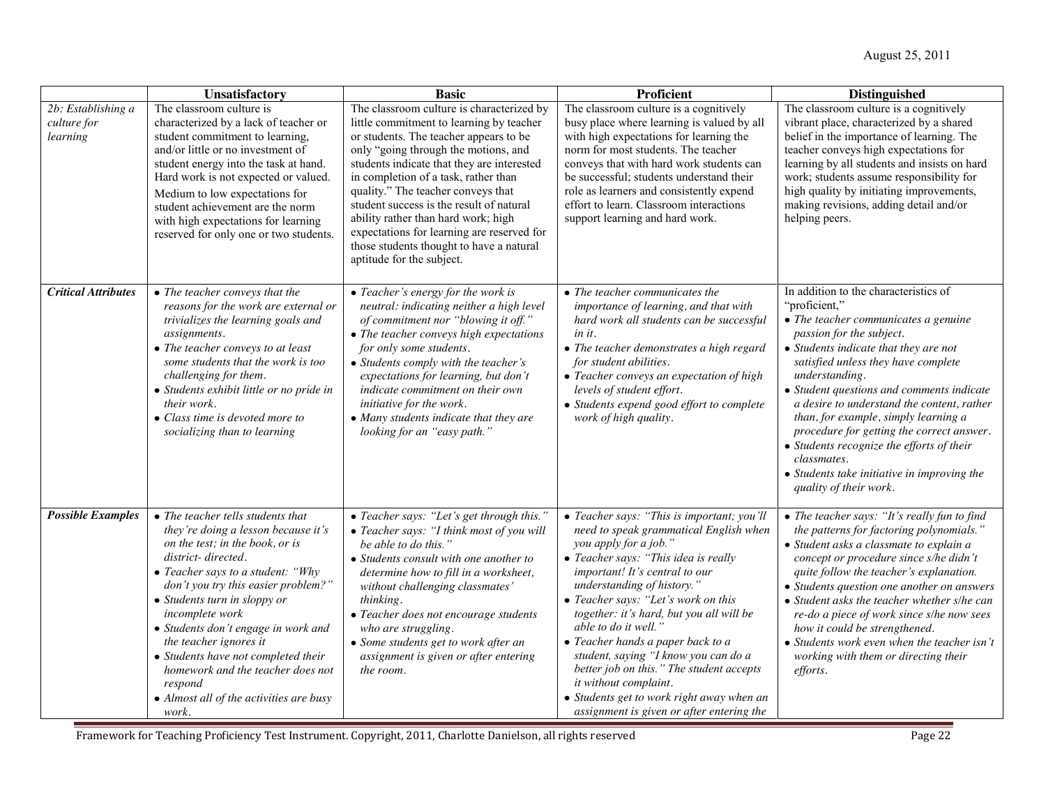|                                                             | Unsatisfactory                                                                                                                                                                                                                                                                                                                                                                                                                                                               | <b>Basic</b>                                                                                                                                                                                                                                                                                                                                                                                                                                                                                                  | <b>Proficient</b>                                                                                                                                                                                                                                                                                                                                                                                                                                                                                                                                                            | <b>Distinguished</b>                                                                                                                                                                                                                                                                                                                                                                                                                                                                                                                                      |
|-------------------------------------------------------------|------------------------------------------------------------------------------------------------------------------------------------------------------------------------------------------------------------------------------------------------------------------------------------------------------------------------------------------------------------------------------------------------------------------------------------------------------------------------------|---------------------------------------------------------------------------------------------------------------------------------------------------------------------------------------------------------------------------------------------------------------------------------------------------------------------------------------------------------------------------------------------------------------------------------------------------------------------------------------------------------------|------------------------------------------------------------------------------------------------------------------------------------------------------------------------------------------------------------------------------------------------------------------------------------------------------------------------------------------------------------------------------------------------------------------------------------------------------------------------------------------------------------------------------------------------------------------------------|-----------------------------------------------------------------------------------------------------------------------------------------------------------------------------------------------------------------------------------------------------------------------------------------------------------------------------------------------------------------------------------------------------------------------------------------------------------------------------------------------------------------------------------------------------------|
| $\overline{2b}$ : Establishing a<br>culture for<br>learning | The classroom culture is<br>characterized by a lack of teacher or<br>student commitment to learning,<br>and/or little or no investment of<br>student energy into the task at hand.<br>Hard work is not expected or valued.<br>Medium to low expectations for<br>student achievement are the norm<br>with high expectations for learning<br>reserved for only one or two students.                                                                                            | The classroom culture is characterized by<br>little commitment to learning by teacher<br>or students. The teacher appears to be<br>only "going through the motions, and<br>students indicate that they are interested<br>in completion of a task, rather than<br>quality." The teacher conveys that<br>student success is the result of natural<br>ability rather than hard work; high<br>expectations for learning are reserved for<br>those students thought to have a natural<br>aptitude for the subject. | The classroom culture is a cognitively<br>busy place where learning is valued by all<br>with high expectations for learning the<br>norm for most students. The teacher<br>conveys that with hard work students can<br>be successful; students understand their<br>role as learners and consistently expend<br>effort to learn. Classroom interactions<br>support learning and hard work.                                                                                                                                                                                     | The classroom culture is a cognitively<br>vibrant place, characterized by a shared<br>belief in the importance of learning. The<br>teacher conveys high expectations for<br>learning by all students and insists on hard<br>work; students assume responsibility for<br>high quality by initiating improvements,<br>making revisions, adding detail and/or<br>helping peers.                                                                                                                                                                              |
| <b>Critical Attributes</b>                                  | • The teacher conveys that the<br>reasons for the work are external or<br>trivializes the learning goals and<br>assignments.<br>• The teacher conveys to at least<br>some students that the work is too<br>challenging for them.<br>• Students exhibit little or no pride in<br>their work.<br>• Class time is devoted more to<br>socializing than to learning                                                                                                               | • Teacher's energy for the work is<br>neutral: indicating neither a high level<br>of commitment nor "blowing it off."<br>• The teacher conveys high expectations<br>for only some students.<br>• Students comply with the teacher's<br>expectations for learning, but don't<br>indicate commitment on their own<br>initiative for the work.<br>• Many students indicate that they are<br>looking for an "easy path."                                                                                          | $\bullet$ The teacher communicates the<br>importance of learning, and that with<br>hard work all students can be successful<br>in it.<br>• The teacher demonstrates a high regard<br>for student abilities.<br>• Teacher conveys an expectation of high<br>levels of student effort.<br>• Students expend good effort to complete<br>work of high quality.                                                                                                                                                                                                                   | In addition to the characteristics of<br>"proficient,"<br>$\bullet$ The teacher communicates a genuine<br>passion for the subject.<br>• Students indicate that they are not<br>satisfied unless they have complete<br>understanding.<br>• Student questions and comments indicate<br>a desire to understand the content, rather<br>than, for example, simply learning a<br>procedure for getting the correct answer.<br>• Students recognize the efforts of their<br>classmates.<br>• Students take initiative in improving the<br>quality of their work. |
| <b>Possible Examples</b>                                    | • The teacher tells students that<br>they're doing a lesson because it's<br>on the test; in the book, or is<br>district-directed.<br>• Teacher says to a student: "Why<br>don't you try this easier problem?"<br>• Students turn in sloppy or<br>incomplete work<br>· Students don't engage in work and<br>the teacher ignores it<br>• Students have not completed their<br>homework and the teacher does not<br>respond<br>• Almost all of the activities are busy<br>work. | • Teacher says: "Let's get through this."<br>• Teacher says: "I think most of you will<br>be able to do this."<br>• Students consult with one another to<br>determine how to fill in a worksheet,<br>without challenging classmates'<br>thinking.<br>• Teacher does not encourage students<br>who are struggling.<br>• Some students get to work after an<br>assignment is given or after entering<br>the room.                                                                                               | • Teacher says: "This is important; you'll<br>need to speak grammatical English when<br>you apply for a job."<br>• Teacher says: "This idea is really<br>important! It's central to our<br>understanding of history."<br>• Teacher says: "Let's work on this<br>together: it's hard, but you all will be<br>able to do it well."<br>• Teacher hands a paper back to a<br>student, saying "I know you can do a<br>better job on this." The student accepts<br>it without complaint.<br>• Students get to work right away when an<br>assignment is given or after entering the | • The teacher says: "It's really fun to find<br>the patterns for factoring polynomials."<br>• Student asks a classmate to explain a<br>concept or procedure since s/he didn't<br>quite follow the teacher's explanation.<br>• Students question one another on answers<br>• Student asks the teacher whether s/he can<br>re-do a piece of work since s/he now sees<br>how it could be strengthened.<br>• Students work even when the teacher isn't<br>working with them or directing their<br><i>efforts.</i>                                             |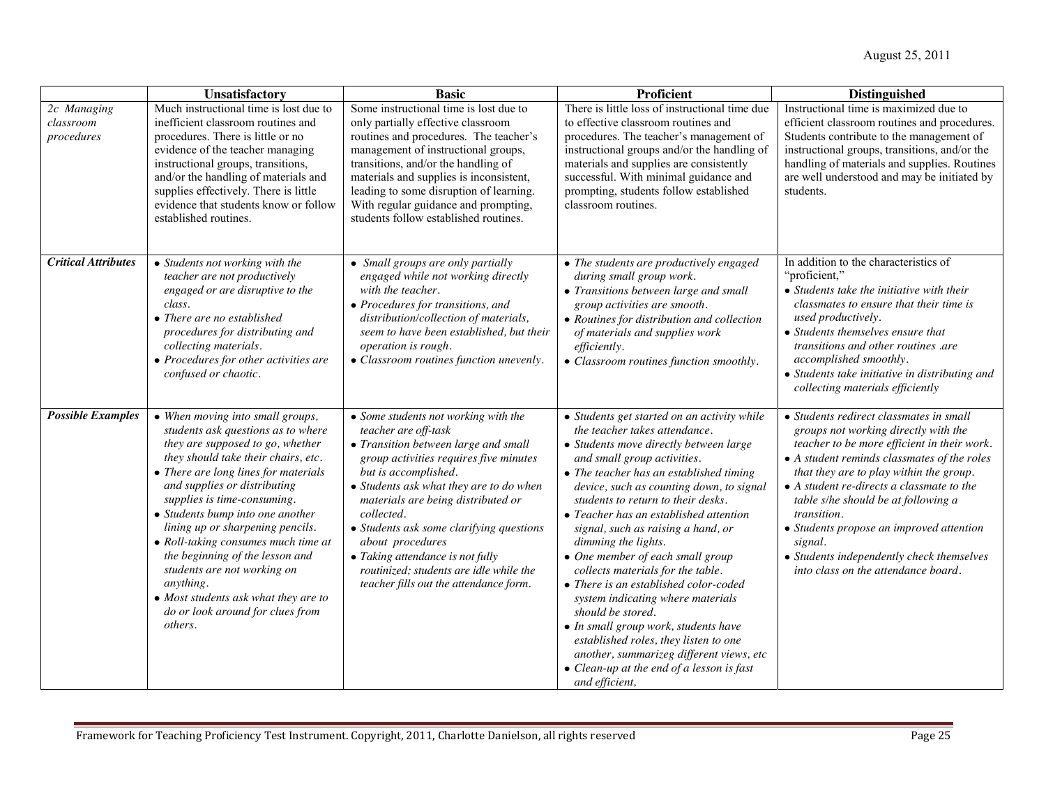|                                        | Unsatisfactory                                                                                                                                                                                                                                                                                                                                                                                                                                                                                                                                | <b>Basic</b>                                                                                                                                                                                                                                                                                                                                                                                                                                                   | Proficient                                                                                                                                                                                                                                                                                                                                                                                                                                                                                                                                                                                                                                                                                                                                                                | <b>Distinguished</b>                                                                                                                                                                                                                                                                                                                                                                                                                                                           |
|----------------------------------------|-----------------------------------------------------------------------------------------------------------------------------------------------------------------------------------------------------------------------------------------------------------------------------------------------------------------------------------------------------------------------------------------------------------------------------------------------------------------------------------------------------------------------------------------------|----------------------------------------------------------------------------------------------------------------------------------------------------------------------------------------------------------------------------------------------------------------------------------------------------------------------------------------------------------------------------------------------------------------------------------------------------------------|---------------------------------------------------------------------------------------------------------------------------------------------------------------------------------------------------------------------------------------------------------------------------------------------------------------------------------------------------------------------------------------------------------------------------------------------------------------------------------------------------------------------------------------------------------------------------------------------------------------------------------------------------------------------------------------------------------------------------------------------------------------------------|--------------------------------------------------------------------------------------------------------------------------------------------------------------------------------------------------------------------------------------------------------------------------------------------------------------------------------------------------------------------------------------------------------------------------------------------------------------------------------|
| 2c Managing<br>classroom<br>procedures | Much instructional time is lost due to<br>inefficient classroom routines and<br>procedures. There is little or no<br>evidence of the teacher managing<br>instructional groups, transitions,<br>and/or the handling of materials and<br>supplies effectively. There is little<br>evidence that students know or follow<br>established routines.                                                                                                                                                                                                | Some instructional time is lost due to<br>only partially effective classroom<br>routines and procedures. The teacher's<br>management of instructional groups,<br>transitions, and/or the handling of<br>materials and supplies is inconsistent,<br>leading to some disruption of learning.<br>With regular guidance and prompting,<br>students follow established routines.                                                                                    | There is little loss of instructional time due<br>to effective classroom routines and<br>procedures. The teacher's management of<br>instructional groups and/or the handling of<br>materials and supplies are consistently<br>successful. With minimal guidance and<br>prompting, students follow established<br>classroom routines.                                                                                                                                                                                                                                                                                                                                                                                                                                      | Instructional time is maximized due to<br>efficient classroom routines and procedures.<br>Students contribute to the management of<br>instructional groups, transitions, and/or the<br>handling of materials and supplies. Routines<br>are well understood and may be initiated by<br>students.                                                                                                                                                                                |
| <b>Critical Attributes</b>             | • Students not working with the<br>teacher are not productively<br>engaged or are disruptive to the<br>class.<br>• There are no established<br>procedures for distributing and<br>collecting materials.<br>• Procedures for other activities are<br>confused or chaotic.                                                                                                                                                                                                                                                                      | • Small groups are only partially<br>engaged while not working directly<br>with the teacher.<br>• Procedures for transitions, and<br>distribution/collection of materials,<br>seem to have been established, but their<br>operation is rough.<br>• Classroom routines function unevenly.                                                                                                                                                                       | • The students are productively engaged<br>during small group work.<br>• Transitions between large and small<br>group activities are smooth.<br>• Routines for distribution and collection<br>of materials and supplies work<br>efficiently.<br>• Classroom routines function smoothly.                                                                                                                                                                                                                                                                                                                                                                                                                                                                                   | In addition to the characteristics of<br>"proficient,"<br>$\bullet$ Students take the initiative with their<br>classmates to ensure that their time is<br>used productively.<br>• Students themselves ensure that<br>transitions and other routines .are<br>accomplished smoothly.<br>• Students take initiative in distributing and<br>collecting materials efficiently                                                                                                       |
| <b>Possible Examples</b>               | • When moving into small groups,<br>students ask questions as to where<br>they are supposed to go, whether<br>they should take their chairs, etc.<br>• There are long lines for materials<br>and supplies or distributing<br>supplies is time-consuming.<br>• Students bump into one another<br>lining up or sharpening pencils.<br>• Roll-taking consumes much time at<br>the beginning of the lesson and<br>students are not working on<br>anything.<br>• Most students ask what they are to<br>do or look around for clues from<br>others. | • Some students not working with the<br>teacher are off-task<br>• Transition between large and small<br>group activities requires five minutes<br>but is accomplished.<br>• Students ask what they are to do when<br>materials are being distributed or<br>collected.<br>• Students ask some clarifying questions<br>about procedures<br>• Taking attendance is not fully<br>routinized; students are idle while the<br>teacher fills out the attendance form. | • Students get started on an activity while<br>the teacher takes attendance.<br>• Students move directly between large<br>and small group activities.<br>$\bullet$ The teacher has an established timing<br>device, such as counting down, to signal<br>students to return to their desks.<br>• Teacher has an established attention<br>signal, such as raising a hand, or<br>dimming the lights.<br>• One member of each small group<br>collects materials for the table.<br>• There is an established color-coded<br>system indicating where materials<br>should be stored.<br>• In small group work, students have<br>established roles, they listen to one<br>another, summarizeg different views, etc<br>• Clean-up at the end of a lesson is fast<br>and efficient, | • Students redirect classmates in small<br>groups not working directly with the<br>teacher to be more efficient in their work.<br>• A student reminds classmates of the roles<br>that they are to play within the group.<br>$\bullet$ A student re-directs a classmate to the<br>table s/he should be at following a<br>transition.<br>• Students propose an improved attention<br>signal.<br>• Students independently check themselves<br>into class on the attendance board. |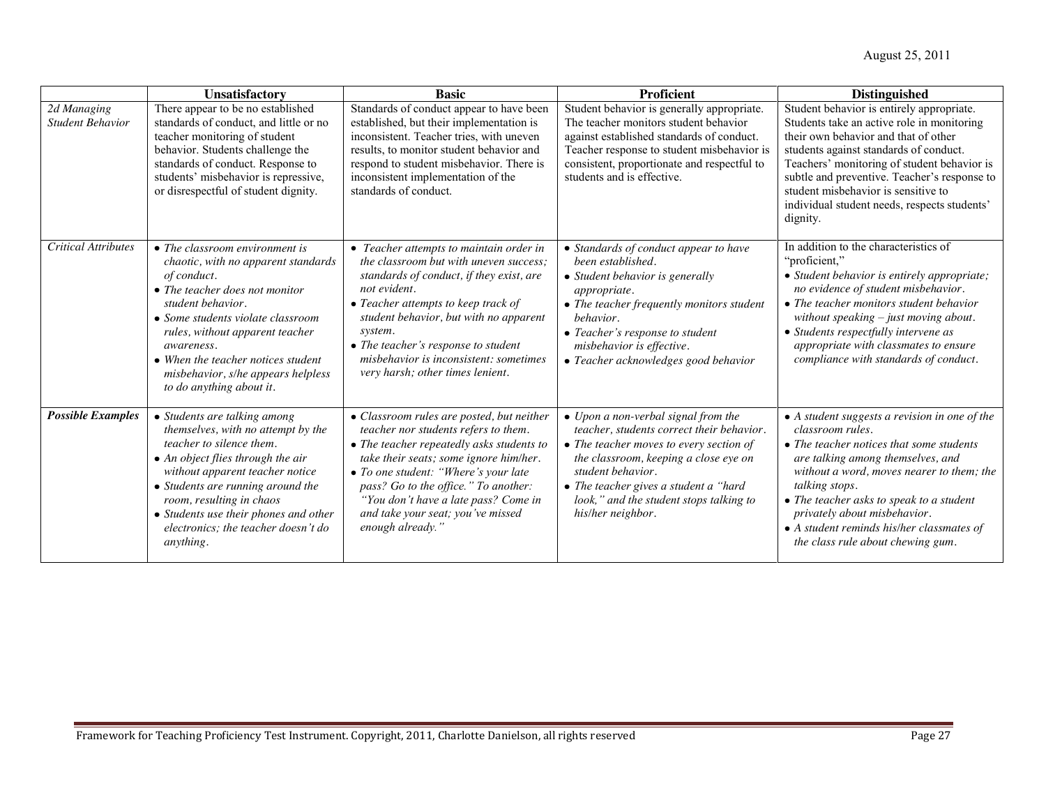|                                        | Unsatisfactory                                                                                                                                                                                                                                                                                                                                            | <b>Basic</b>                                                                                                                                                                                                                                                                                                                                                   | <b>Proficient</b>                                                                                                                                                                                                                                                                                   | <b>Distinguished</b>                                                                                                                                                                                                                                                                                                                                                            |
|----------------------------------------|-----------------------------------------------------------------------------------------------------------------------------------------------------------------------------------------------------------------------------------------------------------------------------------------------------------------------------------------------------------|----------------------------------------------------------------------------------------------------------------------------------------------------------------------------------------------------------------------------------------------------------------------------------------------------------------------------------------------------------------|-----------------------------------------------------------------------------------------------------------------------------------------------------------------------------------------------------------------------------------------------------------------------------------------------------|---------------------------------------------------------------------------------------------------------------------------------------------------------------------------------------------------------------------------------------------------------------------------------------------------------------------------------------------------------------------------------|
| 2d Managing<br><b>Student Behavior</b> | There appear to be no established<br>standards of conduct, and little or no<br>teacher monitoring of student<br>behavior. Students challenge the<br>standards of conduct. Response to<br>students' misbehavior is repressive,<br>or disrespectful of student dignity.                                                                                     | Standards of conduct appear to have been<br>established, but their implementation is<br>inconsistent. Teacher tries, with uneven<br>results, to monitor student behavior and<br>respond to student misbehavior. There is<br>inconsistent implementation of the<br>standards of conduct.                                                                        | Student behavior is generally appropriate.<br>The teacher monitors student behavior<br>against established standards of conduct.<br>Teacher response to student misbehavior is<br>consistent, proportionate and respectful to<br>students and is effective.                                         | Student behavior is entirely appropriate.<br>Students take an active role in monitoring<br>their own behavior and that of other<br>students against standards of conduct.<br>Teachers' monitoring of student behavior is<br>subtle and preventive. Teacher's response to<br>student misbehavior is sensitive to<br>individual student needs, respects students'<br>dignity.     |
| <b>Critical Attributes</b>             | $\bullet$ The classroom environment is<br>chaotic, with no apparent standards<br>of conduct.<br>$\bullet$ The teacher does not monitor<br>student behavior.<br>• Some students violate classroom<br>rules, without apparent teacher<br>awareness.<br>• When the teacher notices student<br>misbehavior, s/he appears helpless<br>to do anything about it. | • Teacher attempts to maintain order in<br>the classroom but with uneven success:<br>standards of conduct, if they exist, are<br>not evident.<br>• Teacher attempts to keep track of<br>student behavior, but with no apparent<br>system.<br>• The teacher's response to student<br>misbehavior is inconsistent: sometimes<br>very harsh; other times lenient. | • Standards of conduct appear to have<br>been established.<br>• Student behavior is generally<br><i>appropriate.</i><br>• The teacher frequently monitors student<br>behavior.<br>• Teacher's response to student<br>misbehavior is effective.<br>• Teacher acknowledges good behavior              | In addition to the characteristics of<br>"proficient,"<br>• Student behavior is entirely appropriate;<br>no evidence of student misbehavior.<br>• The teacher monitors student behavior<br>without speaking $-$ just moving about.<br>• Students respectfully intervene as<br>appropriate with classmates to ensure<br>compliance with standards of conduct.                    |
| <b>Possible Examples</b>               | • Students are talking among<br>themselves, with no attempt by the<br>teacher to silence them.<br>$\bullet$ An object flies through the air<br>without apparent teacher notice<br>• Students are running around the<br>room, resulting in chaos<br>• Students use their phones and other<br>electronics: the teacher doesn't do<br><i>anything.</i>       | • Classroom rules are posted, but neither<br>teacher nor students refers to them.<br>• The teacher repeatedly asks students to<br>take their seats; some ignore him/her.<br>• To one student: "Where's your late<br>pass? Go to the office." To another:<br>"You don't have a late pass? Come in<br>and take your seat; you've missed<br>enough already."      | • Upon a non-verbal signal from the<br>teacher, students correct their behavior.<br>• The teacher moves to every section of<br>the classroom, keeping a close eye on<br>student behavior.<br>• The teacher gives a student a "hard"<br>look," and the student stops talking to<br>his/her neighbor. | • A student suggests a revision in one of the<br>classroom rules.<br>• The teacher notices that some students<br>are talking among themselves, and<br>without a word, moves nearer to them; the<br>talking stops.<br>• The teacher asks to speak to a student<br>privately about misbehavior.<br>• A student reminds his/her classmates of<br>the class rule about chewing gum. |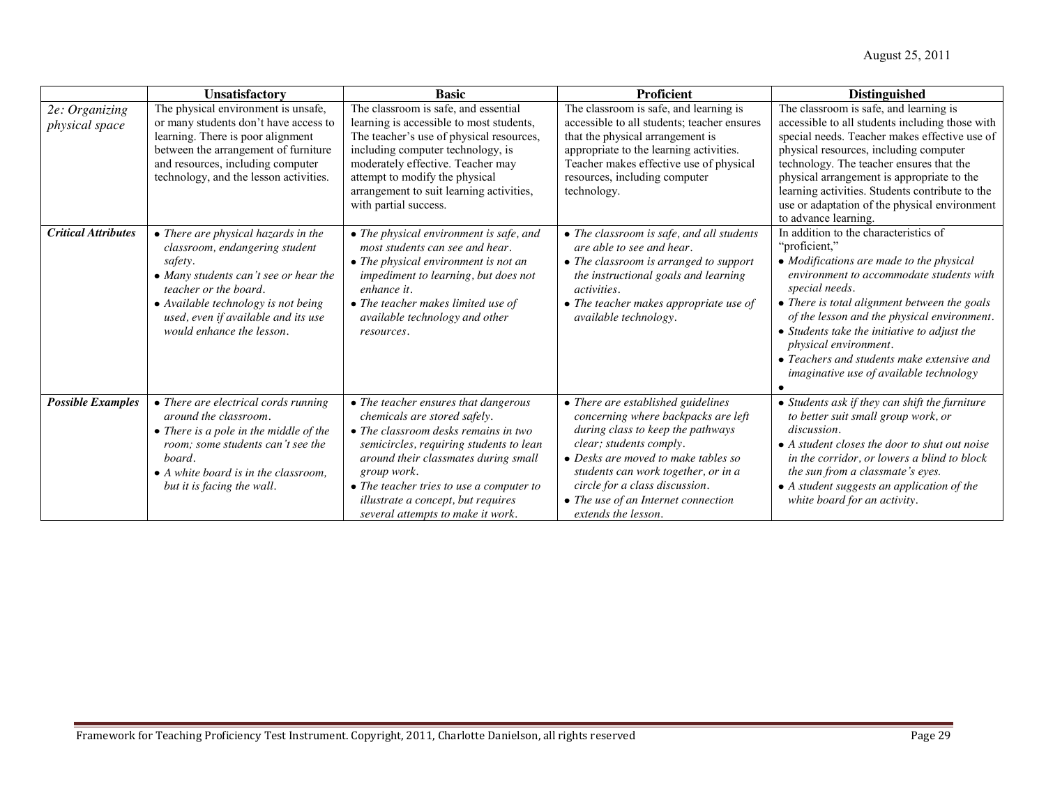|                                  | Unsatisfactory                                                                                                                                                                                                                                                | <b>Basic</b>                                                                                                                                                                                                                                                                                                                          | <b>Proficient</b>                                                                                                                                                                                                                                                                                                       | <b>Distinguished</b>                                                                                                                                                                                                                                                                                                                                                                                                                      |
|----------------------------------|---------------------------------------------------------------------------------------------------------------------------------------------------------------------------------------------------------------------------------------------------------------|---------------------------------------------------------------------------------------------------------------------------------------------------------------------------------------------------------------------------------------------------------------------------------------------------------------------------------------|-------------------------------------------------------------------------------------------------------------------------------------------------------------------------------------------------------------------------------------------------------------------------------------------------------------------------|-------------------------------------------------------------------------------------------------------------------------------------------------------------------------------------------------------------------------------------------------------------------------------------------------------------------------------------------------------------------------------------------------------------------------------------------|
| 2e: Organizing<br>physical space | The physical environment is unsafe,<br>or many students don't have access to<br>learning. There is poor alignment<br>between the arrangement of furniture<br>and resources, including computer<br>technology, and the lesson activities.                      | The classroom is safe, and essential<br>learning is accessible to most students,<br>The teacher's use of physical resources,<br>including computer technology, is<br>moderately effective. Teacher may<br>attempt to modify the physical<br>arrangement to suit learning activities,<br>with partial success.                         | The classroom is safe, and learning is<br>accessible to all students; teacher ensures<br>that the physical arrangement is<br>appropriate to the learning activities.<br>Teacher makes effective use of physical<br>resources, including computer<br>technology.                                                         | The classroom is safe, and learning is<br>accessible to all students including those with<br>special needs. Teacher makes effective use of<br>physical resources, including computer<br>technology. The teacher ensures that the<br>physical arrangement is appropriate to the<br>learning activities. Students contribute to the<br>use or adaptation of the physical environment<br>to advance learning.                                |
| <b>Critical Attributes</b>       | • There are physical hazards in the<br>classroom, endangering student<br>safety.<br>• Many students can't see or hear the<br>teacher or the board.<br>• Available technology is not being<br>used, even if available and its use<br>would enhance the lesson. | • The physical environment is safe, and<br>most students can see and hear.<br>• The physical environment is not an<br>impediment to learning, but does not<br>enhance it.<br>• The teacher makes limited use of<br>available technology and other<br>resources.                                                                       | • The classroom is safe, and all students<br>are able to see and hear.<br>• The classroom is arranged to support<br>the instructional goals and learning<br><i>activities.</i><br>• The teacher makes appropriate use of<br>available technology.                                                                       | In addition to the characteristics of<br>"proficient,"<br>• Modifications are made to the physical<br>environment to accommodate students with<br>special needs.<br>• There is total alignment between the goals<br>of the lesson and the physical environment.<br>$\bullet$ Students take the initiative to adjust the<br>physical environment.<br>• Teachers and students make extensive and<br>imaginative use of available technology |
| <b>Possible Examples</b>         | • There are electrical cords running<br>around the classroom.<br>• There is a pole in the middle of the<br>room; some students can't see the<br>board.<br>• A white board is in the classroom.<br>but it is facing the wall.                                  | • The teacher ensures that dangerous<br>chemicals are stored safely.<br>• The classroom desks remains in two<br>semicircles, requiring students to lean<br>around their classmates during small<br>group work.<br>• The teacher tries to use a computer to<br>illustrate a concept, but requires<br>several attempts to make it work. | • There are established guidelines<br>concerning where backpacks are left<br>during class to keep the pathways<br>clear; students comply.<br>• Desks are moved to make tables so<br>students can work together, or in a<br>circle for a class discussion.<br>• The use of an Internet connection<br>extends the lesson. | • Students ask if they can shift the furniture<br>to better suit small group work, or<br>discussion.<br>• A student closes the door to shut out noise<br>in the corridor, or lowers a blind to block<br>the sun from a classmate's eyes.<br>• A student suggests an application of the<br>white board for an activity.                                                                                                                    |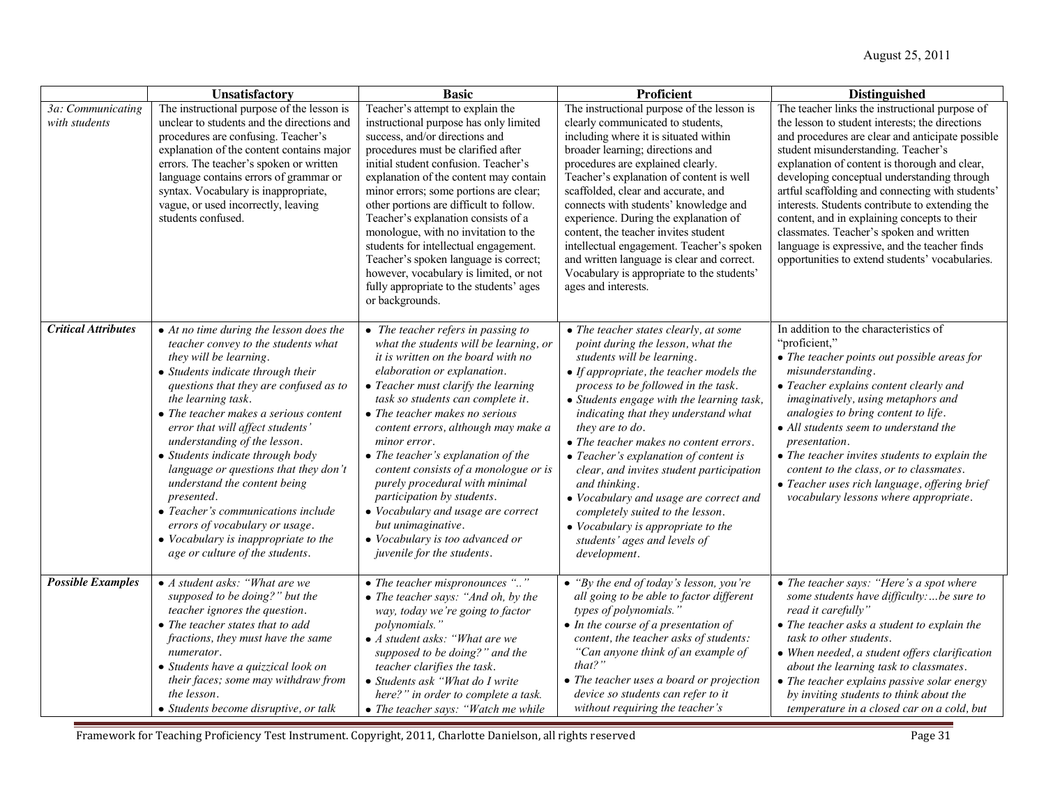|                                    | Unsatisfactory                                                                                                                                                                                                                                                                                                                                                                                                                                                                                                                                                                                                           | <b>Basic</b>                                                                                                                                                                                                                                                                                                                                                                                                                                                                                                                                                                                       | Proficient                                                                                                                                                                                                                                                                                                                                                                                                                                                                                                                                                                                                                      | <b>Distinguished</b>                                                                                                                                                                                                                                                                                                                                                                                                                                                                                                                                                                                |
|------------------------------------|--------------------------------------------------------------------------------------------------------------------------------------------------------------------------------------------------------------------------------------------------------------------------------------------------------------------------------------------------------------------------------------------------------------------------------------------------------------------------------------------------------------------------------------------------------------------------------------------------------------------------|----------------------------------------------------------------------------------------------------------------------------------------------------------------------------------------------------------------------------------------------------------------------------------------------------------------------------------------------------------------------------------------------------------------------------------------------------------------------------------------------------------------------------------------------------------------------------------------------------|---------------------------------------------------------------------------------------------------------------------------------------------------------------------------------------------------------------------------------------------------------------------------------------------------------------------------------------------------------------------------------------------------------------------------------------------------------------------------------------------------------------------------------------------------------------------------------------------------------------------------------|-----------------------------------------------------------------------------------------------------------------------------------------------------------------------------------------------------------------------------------------------------------------------------------------------------------------------------------------------------------------------------------------------------------------------------------------------------------------------------------------------------------------------------------------------------------------------------------------------------|
| 3a: Communicating<br>with students | The instructional purpose of the lesson is<br>unclear to students and the directions and<br>procedures are confusing. Teacher's<br>explanation of the content contains major<br>errors. The teacher's spoken or written<br>language contains errors of grammar or<br>syntax. Vocabulary is inappropriate,<br>vague, or used incorrectly, leaving<br>students confused.                                                                                                                                                                                                                                                   | Teacher's attempt to explain the<br>instructional purpose has only limited<br>success, and/or directions and<br>procedures must be clarified after<br>initial student confusion. Teacher's<br>explanation of the content may contain<br>minor errors; some portions are clear;<br>other portions are difficult to follow.<br>Teacher's explanation consists of a<br>monologue, with no invitation to the<br>students for intellectual engagement.<br>Teacher's spoken language is correct;<br>however, vocabulary is limited, or not<br>fully appropriate to the students' ages<br>or backgrounds. | The instructional purpose of the lesson is<br>clearly communicated to students,<br>including where it is situated within<br>broader learning; directions and<br>procedures are explained clearly.<br>Teacher's explanation of content is well<br>scaffolded, clear and accurate, and<br>connects with students' knowledge and<br>experience. During the explanation of<br>content, the teacher invites student<br>intellectual engagement. Teacher's spoken<br>and written language is clear and correct.<br>Vocabulary is appropriate to the students'<br>ages and interests.                                                  | The teacher links the instructional purpose of<br>the lesson to student interests; the directions<br>and procedures are clear and anticipate possible<br>student misunderstanding. Teacher's<br>explanation of content is thorough and clear,<br>developing conceptual understanding through<br>artful scaffolding and connecting with students'<br>interests. Students contribute to extending the<br>content, and in explaining concepts to their<br>classmates. Teacher's spoken and written<br>language is expressive, and the teacher finds<br>opportunities to extend students' vocabularies. |
| <b>Critical Attributes</b>         | $\bullet$ At no time during the lesson does the<br>teacher convey to the students what<br>they will be learning.<br>• Students indicate through their<br>questions that they are confused as to<br>the learning task.<br>• The teacher makes a serious content<br>error that will affect students'<br>understanding of the lesson.<br>• Students indicate through body<br>language or questions that they don't<br>understand the content being<br>presented.<br>• Teacher's communications include<br>errors of vocabulary or usage.<br>$\bullet$ Vocabulary is inappropriate to the<br>age or culture of the students. | • The teacher refers in passing to<br>what the students will be learning, or<br>it is written on the board with no<br>elaboration or explanation.<br>• Teacher must clarify the learning<br>task so students can complete it.<br>• The teacher makes no serious<br>content errors, although may make a<br>minor error.<br>• The teacher's explanation of the<br>content consists of a monologue or is<br>purely procedural with minimal<br>participation by students.<br>• Vocabulary and usage are correct<br>but unimaginative.<br>• Vocabulary is too advanced or<br>juvenile for the students. | • The teacher states clearly, at some<br>point during the lesson, what the<br>students will be learning.<br>• If appropriate, the teacher models the<br>process to be followed in the task.<br>• Students engage with the learning task,<br>indicating that they understand what<br>they are to do.<br>• The teacher makes no content errors.<br>• Teacher's explanation of content is<br>clear, and invites student participation<br>and thinking.<br>• Vocabulary and usage are correct and<br>completely suited to the lesson.<br>$\bullet$ Vocabulary is appropriate to the<br>students' ages and levels of<br>development. | In addition to the characteristics of<br>"proficient,"<br>• The teacher points out possible areas for<br>misunderstanding.<br>• Teacher explains content clearly and<br>imaginatively, using metaphors and<br>analogies to bring content to life.<br>• All students seem to understand the<br><i>presentation.</i><br>• The teacher invites students to explain the<br>content to the class, or to classmates.<br>• Teacher uses rich language, offering brief<br>vocabulary lessons where appropriate.                                                                                             |
| <b>Possible Examples</b>           | $\bullet$ A student asks: "What are we<br>supposed to be doing?" but the<br>teacher ignores the question.<br>$\bullet$ The teacher states that to add<br>fractions, they must have the same<br>numerator.<br>• Students have a quizzical look on<br>their faces; some may withdraw from<br>the lesson.<br>• Students become disruptive, or talk                                                                                                                                                                                                                                                                          | • The teacher mispronounces ""<br>• The teacher says: "And oh, by the<br>way, today we're going to factor<br>polynomials."<br>$\bullet$ A student asks: "What are we<br>supposed to be doing?" and the<br>teacher clarifies the task.<br>• Students ask "What do I write<br>here?" in order to complete a task.<br>• The teacher says: "Watch me while                                                                                                                                                                                                                                             | • "By the end of today's lesson, you're<br>all going to be able to factor different<br>types of polynomials."<br>$\bullet$ In the course of a presentation of<br>content, the teacher asks of students:<br>"Can anyone think of an example of<br>$that?$ "<br>• The teacher uses a board or projection<br>device so students can refer to it<br>without requiring the teacher's                                                                                                                                                                                                                                                 | • The teacher says: "Here's a spot where<br>some students have difficulty:be sure to<br>read it carefully"<br>• The teacher asks a student to explain the<br>task to other students.<br>• When needed, a student offers clarification<br>about the learning task to classmates.<br>• The teacher explains passive solar energy<br>by inviting students to think about the<br>temperature in a closed car on a cold, but                                                                                                                                                                             |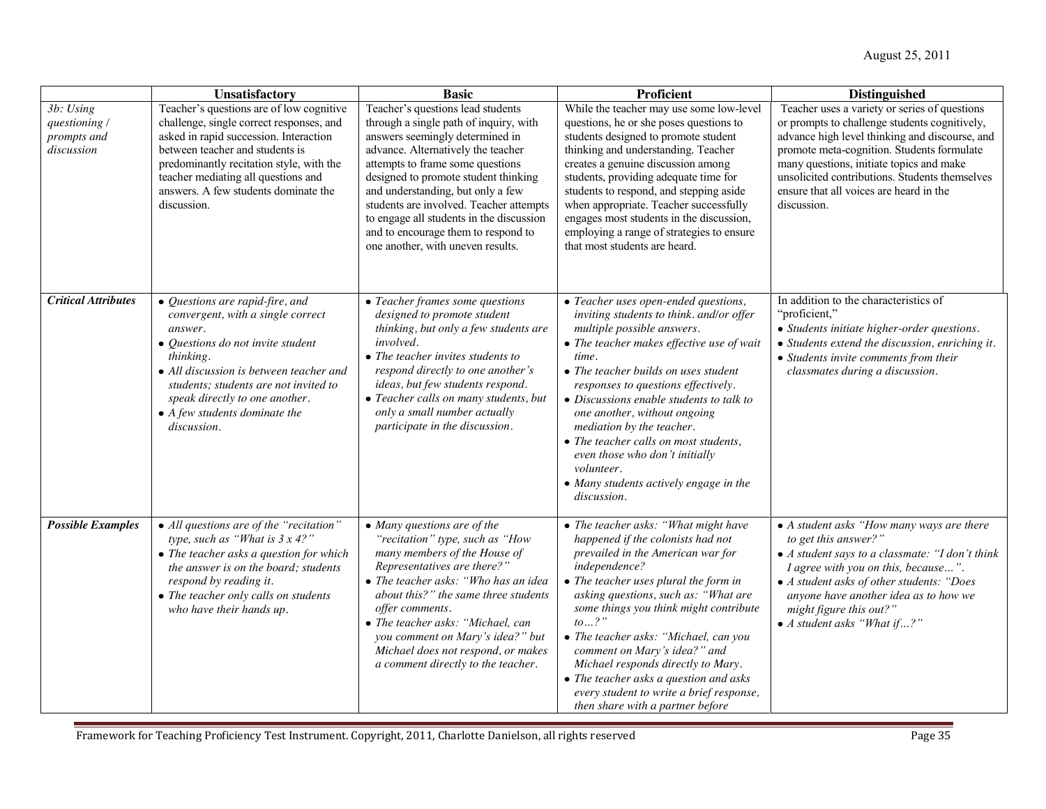|                                                         | Unsatisfactory                                                                                                                                                                                                                                                                                                  | <b>Basic</b>                                                                                                                                                                                                                                                                                                                                                                                                                             | Proficient                                                                                                                                                                                                                                                                                                                                                                                                                                                                                                                   | <b>Distinguished</b>                                                                                                                                                                                                                                                                                                                                   |
|---------------------------------------------------------|-----------------------------------------------------------------------------------------------------------------------------------------------------------------------------------------------------------------------------------------------------------------------------------------------------------------|------------------------------------------------------------------------------------------------------------------------------------------------------------------------------------------------------------------------------------------------------------------------------------------------------------------------------------------------------------------------------------------------------------------------------------------|------------------------------------------------------------------------------------------------------------------------------------------------------------------------------------------------------------------------------------------------------------------------------------------------------------------------------------------------------------------------------------------------------------------------------------------------------------------------------------------------------------------------------|--------------------------------------------------------------------------------------------------------------------------------------------------------------------------------------------------------------------------------------------------------------------------------------------------------------------------------------------------------|
| 3b: Using<br>questioning /<br>prompts and<br>discussion | Teacher's questions are of low cognitive<br>challenge, single correct responses, and<br>asked in rapid succession. Interaction<br>between teacher and students is<br>predominantly recitation style, with the<br>teacher mediating all questions and<br>answers. A few students dominate the<br>discussion.     | Teacher's questions lead students<br>through a single path of inquiry, with<br>answers seemingly determined in<br>advance. Alternatively the teacher<br>attempts to frame some questions<br>designed to promote student thinking<br>and understanding, but only a few<br>students are involved. Teacher attempts<br>to engage all students in the discussion<br>and to encourage them to respond to<br>one another, with uneven results. | While the teacher may use some low-level<br>questions, he or she poses questions to<br>students designed to promote student<br>thinking and understanding. Teacher<br>creates a genuine discussion among<br>students, providing adequate time for<br>students to respond, and stepping aside<br>when appropriate. Teacher successfully<br>engages most students in the discussion,<br>employing a range of strategies to ensure<br>that most students are heard.                                                             | Teacher uses a variety or series of questions<br>or prompts to challenge students cognitively,<br>advance high level thinking and discourse, and<br>promote meta-cognition. Students formulate<br>many questions, initiate topics and make<br>unsolicited contributions. Students themselves<br>ensure that all voices are heard in the<br>discussion. |
| <b>Critical Attributes</b>                              | • Questions are rapid-fire, and<br>convergent, with a single correct<br>answer.<br>• Questions do not invite student<br>thinking.<br>• All discussion is between teacher and<br>students; students are not invited to<br>speak directly to one another.<br>$\bullet$ A few students dominate the<br>discussion. | • Teacher frames some questions<br>designed to promote student<br>thinking, but only a few students are<br>involved.<br>$\bullet$ The teacher invites students to<br>respond directly to one another's<br>ideas, but few students respond.<br>• Teacher calls on many students, but<br>only a small number actually<br>participate in the discussion.                                                                                    | • Teacher uses open-ended questions,<br>inviting students to think. and/or offer<br>multiple possible answers.<br>• The teacher makes effective use of wait<br>time.<br>• The teacher builds on uses student<br>responses to questions effectively.<br>$\bullet$ Discussions enable students to talk to<br>one another, without ongoing<br>mediation by the teacher.<br>• The teacher calls on most students,<br>even those who don't initially<br>volunteer.<br>• Many students actively engage in the<br>discussion.       | In addition to the characteristics of<br>"proficient,"<br>• Students initiate higher-order questions.<br>• Students extend the discussion, enriching it.<br>• Students invite comments from their<br>classmates during a discussion.                                                                                                                   |
| <b>Possible Examples</b>                                | • All questions are of the "recitation"<br>type, such as "What is $3x 4?$ "<br>• The teacher asks a question for which<br>the answer is on the board; students<br>respond by reading it.<br>• The teacher only calls on students<br>who have their hands up.                                                    | $\bullet$ Many questions are of the<br>"recitation" type, such as "How<br>many members of the House of<br>Representatives are there?"<br>• The teacher asks: "Who has an idea<br>about this?" the same three students<br>offer comments.<br>• The teacher asks: "Michael, can<br>you comment on Mary's idea?" but<br>Michael does not respond, or makes<br>a comment directly to the teacher.                                            | • The teacher asks: "What might have<br>happened if the colonists had not<br>prevailed in the American war for<br>independence?<br>• The teacher uses plural the form in<br>asking questions, such as: "What are<br>some things you think might contribute<br>$to \dots$ ?"<br>• The teacher asks: "Michael, can you<br>comment on Mary's idea?" and<br>Michael responds directly to Mary.<br>$\bullet$ The teacher asks a question and asks<br>every student to write a brief response,<br>then share with a partner before | • A student asks "How many ways are there<br>to get this answer?"<br>• A student says to a classmate: "I don't think<br>I agree with you on this, because".<br>• A student asks of other students: "Does<br>anyone have another idea as to how we<br>might figure this out?"<br>• A student asks "What if?"                                            |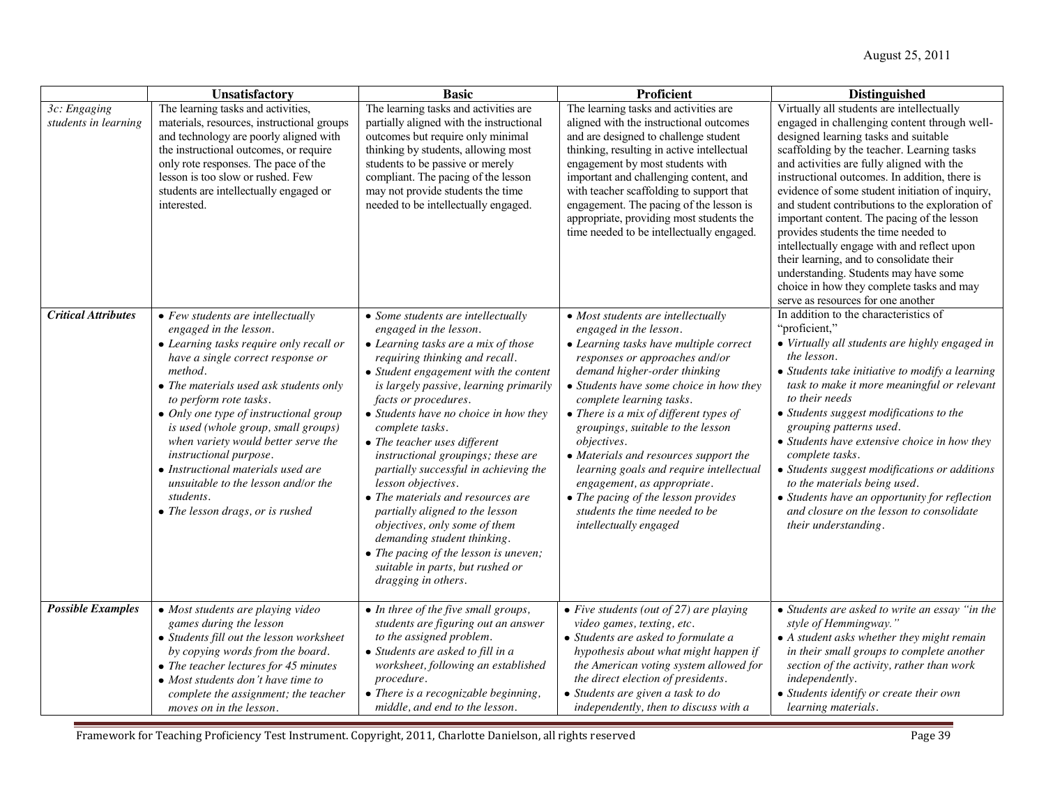|                                      | Unsatisfactory                                                                                                                                                                                                                                                                                                                                                                                                                                                                                                     | <b>Basic</b>                                                                                                                                                                                                                                                                                                                                                                                                                                                                                                                                                                                                                                                                                          | Proficient                                                                                                                                                                                                                                                                                                                                                                                                                                                                                                                                                                  | <b>Distinguished</b>                                                                                                                                                                                                                                                                                                                                                                                                                                                                                                                                                                                                                                                                              |
|--------------------------------------|--------------------------------------------------------------------------------------------------------------------------------------------------------------------------------------------------------------------------------------------------------------------------------------------------------------------------------------------------------------------------------------------------------------------------------------------------------------------------------------------------------------------|-------------------------------------------------------------------------------------------------------------------------------------------------------------------------------------------------------------------------------------------------------------------------------------------------------------------------------------------------------------------------------------------------------------------------------------------------------------------------------------------------------------------------------------------------------------------------------------------------------------------------------------------------------------------------------------------------------|-----------------------------------------------------------------------------------------------------------------------------------------------------------------------------------------------------------------------------------------------------------------------------------------------------------------------------------------------------------------------------------------------------------------------------------------------------------------------------------------------------------------------------------------------------------------------------|---------------------------------------------------------------------------------------------------------------------------------------------------------------------------------------------------------------------------------------------------------------------------------------------------------------------------------------------------------------------------------------------------------------------------------------------------------------------------------------------------------------------------------------------------------------------------------------------------------------------------------------------------------------------------------------------------|
| 3c: Engaging<br>students in learning | The learning tasks and activities,<br>materials, resources, instructional groups<br>and technology are poorly aligned with<br>the instructional outcomes, or require<br>only rote responses. The pace of the<br>lesson is too slow or rushed. Few<br>students are intellectually engaged or<br>interested.                                                                                                                                                                                                         | The learning tasks and activities are<br>partially aligned with the instructional<br>outcomes but require only minimal<br>thinking by students, allowing most<br>students to be passive or merely<br>compliant. The pacing of the lesson<br>may not provide students the time<br>needed to be intellectually engaged.                                                                                                                                                                                                                                                                                                                                                                                 | The learning tasks and activities are<br>aligned with the instructional outcomes<br>and are designed to challenge student<br>thinking, resulting in active intellectual<br>engagement by most students with<br>important and challenging content, and<br>with teacher scaffolding to support that<br>engagement. The pacing of the lesson is<br>appropriate, providing most students the<br>time needed to be intellectually engaged.                                                                                                                                       | Virtually all students are intellectually<br>engaged in challenging content through well-<br>designed learning tasks and suitable<br>scaffolding by the teacher. Learning tasks<br>and activities are fully aligned with the<br>instructional outcomes. In addition, there is<br>evidence of some student initiation of inquiry,<br>and student contributions to the exploration of<br>important content. The pacing of the lesson<br>provides students the time needed to<br>intellectually engage with and reflect upon<br>their learning, and to consolidate their<br>understanding. Students may have some<br>choice in how they complete tasks and may<br>serve as resources for one another |
| <b>Critical Attributes</b>           | $\bullet$ Few students are intellectually<br>engaged in the lesson.<br>• Learning tasks require only recall or<br>have a single correct response or<br>method.<br>• The materials used ask students only<br>to perform rote tasks.<br>• Only one type of instructional group<br>is used (whole group, small groups)<br>when variety would better serve the<br>instructional purpose.<br>• Instructional materials used are<br>unsuitable to the lesson and/or the<br>students.<br>• The lesson drags, or is rushed | • Some students are intellectually<br>engaged in the lesson.<br>• Learning tasks are a mix of those<br>requiring thinking and recall.<br>• Student engagement with the content<br>is largely passive, learning primarily<br>facts or procedures.<br>• Students have no choice in how they<br>complete tasks.<br>$\bullet$ The teacher uses different<br>instructional groupings; these are<br>partially successful in achieving the<br>lesson objectives.<br>• The materials and resources are<br>partially aligned to the lesson<br>objectives, only some of them<br>demanding student thinking.<br>• The pacing of the lesson is uneven;<br>suitable in parts, but rushed or<br>dragging in others. | • Most students are intellectually<br>engaged in the lesson.<br>• Learning tasks have multiple correct<br>responses or approaches and/or<br>demand higher-order thinking<br>• Students have some choice in how they<br>complete learning tasks.<br>$\bullet$ There is a mix of different types of<br>groupings, suitable to the lesson<br>objectives.<br>• Materials and resources support the<br>learning goals and require intellectual<br>engagement, as appropriate.<br>• The pacing of the lesson provides<br>students the time needed to be<br>intellectually engaged | In addition to the characteristics of<br>"proficient,"<br>• Virtually all students are highly engaged in<br>the lesson.<br>• Students take initiative to modify a learning<br>task to make it more meaningful or relevant<br>to their needs<br>• Students suggest modifications to the<br>grouping patterns used.<br>• Students have extensive choice in how they<br>complete tasks.<br>• Students suggest modifications or additions<br>to the materials being used.<br>• Students have an opportunity for reflection<br>and closure on the lesson to consolidate<br>their understanding.                                                                                                        |
| <b>Possible Examples</b>             | • Most students are playing video<br>games during the lesson<br>• Students fill out the lesson worksheet<br>by copying words from the board.<br>• The teacher lectures for 45 minutes<br>• Most students don't have time to<br>complete the assignment; the teacher<br>moves on in the lesson.                                                                                                                                                                                                                     | • In three of the five small groups,<br>students are figuring out an answer<br>to the assigned problem.<br>• Students are asked to fill in a<br>worksheet, following an established<br>procedure.<br>$\bullet$ There is a recognizable beginning,<br>middle, and end to the lesson.                                                                                                                                                                                                                                                                                                                                                                                                                   | $\bullet$ Five students (out of 27) are playing<br>video games, texting, etc.<br>• Students are asked to formulate a<br>hypothesis about what might happen if<br>the American voting system allowed for<br>the direct election of presidents.<br>• Students are given a task to do<br>independently, then to discuss with a                                                                                                                                                                                                                                                 | • Students are asked to write an essay "in the<br>style of Hemmingway."<br>• A student asks whether they might remain<br>in their small groups to complete another<br>section of the activity, rather than work<br>independently.<br>• Students identify or create their own<br>learning materials.                                                                                                                                                                                                                                                                                                                                                                                               |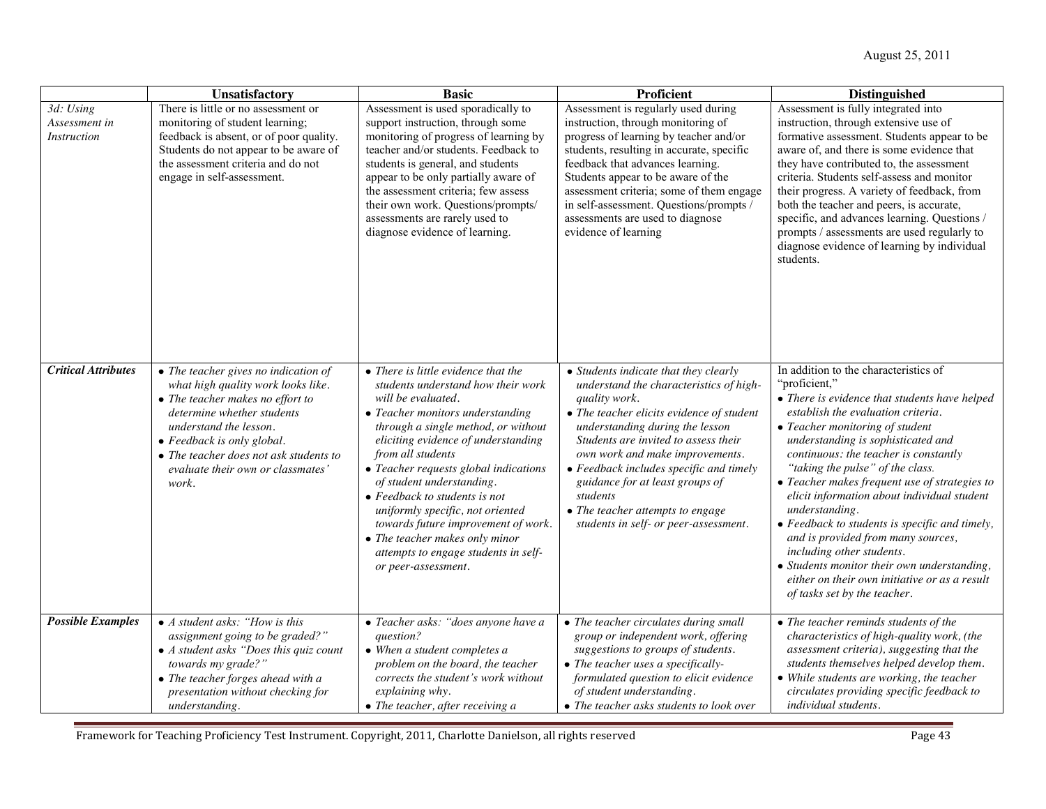|                                                  | Unsatisfactory                                                                                                                                                                                                                                                                               | <b>Basic</b>                                                                                                                                                                                                                                                                                                                                                                                                                                                                                                                              | <b>Proficient</b>                                                                                                                                                                                                                                                                                                                                                                                                                   | <b>Distinguished</b>                                                                                                                                                                                                                                                                                                                                                                                                                                                                                                                                                                                                                                                       |
|--------------------------------------------------|----------------------------------------------------------------------------------------------------------------------------------------------------------------------------------------------------------------------------------------------------------------------------------------------|-------------------------------------------------------------------------------------------------------------------------------------------------------------------------------------------------------------------------------------------------------------------------------------------------------------------------------------------------------------------------------------------------------------------------------------------------------------------------------------------------------------------------------------------|-------------------------------------------------------------------------------------------------------------------------------------------------------------------------------------------------------------------------------------------------------------------------------------------------------------------------------------------------------------------------------------------------------------------------------------|----------------------------------------------------------------------------------------------------------------------------------------------------------------------------------------------------------------------------------------------------------------------------------------------------------------------------------------------------------------------------------------------------------------------------------------------------------------------------------------------------------------------------------------------------------------------------------------------------------------------------------------------------------------------------|
| 3d: Using<br>Assessment in<br><b>Instruction</b> | There is little or no assessment or<br>monitoring of student learning;<br>feedback is absent, or of poor quality.<br>Students do not appear to be aware of<br>the assessment criteria and do not<br>engage in self-assessment.                                                               | Assessment is used sporadically to<br>support instruction, through some<br>monitoring of progress of learning by<br>teacher and/or students. Feedback to<br>students is general, and students<br>appear to be only partially aware of<br>the assessment criteria; few assess<br>their own work. Questions/prompts/<br>assessments are rarely used to<br>diagnose evidence of learning.                                                                                                                                                    | Assessment is regularly used during<br>instruction, through monitoring of<br>progress of learning by teacher and/or<br>students, resulting in accurate, specific<br>feedback that advances learning.<br>Students appear to be aware of the<br>assessment criteria; some of them engage<br>in self-assessment. Questions/prompts /<br>assessments are used to diagnose<br>evidence of learning                                       | Assessment is fully integrated into<br>instruction, through extensive use of<br>formative assessment. Students appear to be<br>aware of, and there is some evidence that<br>they have contributed to, the assessment<br>criteria. Students self-assess and monitor<br>their progress. A variety of feedback, from<br>both the teacher and peers, is accurate,<br>specific, and advances learning. Questions /<br>prompts / assessments are used regularly to<br>diagnose evidence of learning by individual<br>students.                                                                                                                                                   |
| <b>Critical Attributes</b>                       | • The teacher gives no indication of<br>what high quality work looks like.<br>• The teacher makes no effort to<br>determine whether students<br>understand the lesson.<br>• Feedback is only global.<br>• The teacher does not ask students to<br>evaluate their own or classmates'<br>work. | $\bullet$ There is little evidence that the<br>students understand how their work<br>will be evaluated.<br>• Teacher monitors understanding<br>through a single method, or without<br>eliciting evidence of understanding<br>from all students<br>• Teacher requests global indications<br>of student understanding.<br>$\bullet$ Feedback to students is not<br>uniformly specific, not oriented<br>towards future improvement of work.<br>• The teacher makes only minor<br>attempts to engage students in self-<br>or peer-assessment. | • Students indicate that they clearly<br>understand the characteristics of high-<br>quality work.<br>• The teacher elicits evidence of student<br>understanding during the lesson<br>Students are invited to assess their<br>own work and make improvements.<br>• Feedback includes specific and timely<br>guidance for at least groups of<br>students<br>• The teacher attempts to engage<br>students in self- or peer-assessment. | In addition to the characteristics of<br>"proficient,"<br>• There is evidence that students have helped<br>establish the evaluation criteria.<br>• Teacher monitoring of student<br>understanding is sophisticated and<br>continuous: the teacher is constantly<br>"taking the pulse" of the class.<br>• Teacher makes frequent use of strategies to<br>elicit information about individual student<br>understanding.<br>• Feedback to students is specific and timely,<br>and is provided from many sources,<br>including other students.<br>• Students monitor their own understanding,<br>either on their own initiative or as a result<br>of tasks set by the teacher. |
| <b>Possible Examples</b>                         | • A student asks: "How is this<br>assignment going to be graded?"<br>$\bullet$ A student asks "Does this quiz count<br>towards my grade?"<br>• The teacher forges ahead with a<br>presentation without checking for<br>understanding.                                                        | • Teacher asks: "does anyone have a<br>question?<br>• When a student completes a<br>problem on the board, the teacher<br>corrects the student's work without<br>explaining why.<br>• The teacher, after receiving a                                                                                                                                                                                                                                                                                                                       | • The teacher circulates during small<br>group or independent work, offering<br>suggestions to groups of students.<br>• The teacher uses a specifically-<br>formulated question to elicit evidence<br>of student understanding.<br>• The teacher asks students to look over                                                                                                                                                         | • The teacher reminds students of the<br>characteristics of high-quality work, (the<br>assessment criteria), suggesting that the<br>students themselves helped develop them.<br>• While students are working, the teacher<br>circulates providing specific feedback to<br>individual students.                                                                                                                                                                                                                                                                                                                                                                             |